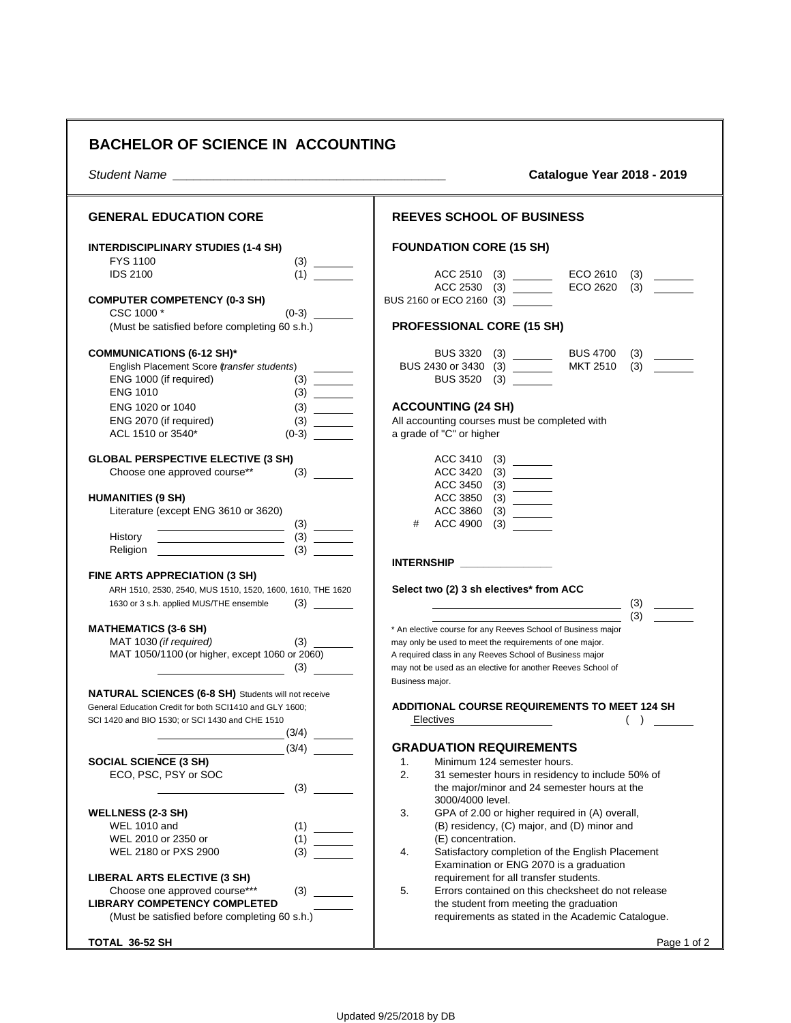## **BACHELOR OF SCIENCE IN ACCOUNTING**

*Student Name \_\_\_\_\_\_\_\_\_\_\_\_\_\_\_\_\_\_\_\_\_\_\_\_\_\_\_\_\_\_\_\_\_\_\_\_\_\_\_\_* **Catalogue Year 2018 - 2019**

| <b>GENERAL EDUCATION CORE</b>                                                                                                                                                               | <b>REEVES SCHOOL OF BUSINESS</b>                                                                                           |
|---------------------------------------------------------------------------------------------------------------------------------------------------------------------------------------------|----------------------------------------------------------------------------------------------------------------------------|
| <b>INTERDISCIPLINARY STUDIES (1-4 SH)</b><br>FYS 1100                                                                                                                                       | <b>FOUNDATION CORE (15 SH)</b>                                                                                             |
| $\begin{array}{c} (3) \qquad \qquad \boxed{ \qquad \qquad } \\ (1) \qquad \qquad \boxed{ \qquad \qquad } \end{array}$<br><b>IDS 2100</b>                                                    | ACC 2510 (3)<br>ECO 2610<br>(3)<br>ACC 2530 (3)<br>ECO 2620<br>(3)                                                         |
| <b>COMPUTER COMPETENCY (0-3 SH)</b><br>$(0-3)$<br>CSC 1000 *                                                                                                                                | BUS 2160 or ECO 2160 (3) _______                                                                                           |
| (Must be satisfied before completing 60 s.h.)                                                                                                                                               | <b>PROFESSIONAL CORE (15 SH)</b>                                                                                           |
| <b>COMMUNICATIONS (6-12 SH)*</b>                                                                                                                                                            | BUS 3320 (3) _______<br>BUS 4700<br>(3)                                                                                    |
| English Placement Score (transfer students)<br>ENG 1000 (if required)<br><b>ENG 1010</b>                                                                                                    | MKT 2510<br>BUS 2430 or 3430 (3) ________<br>(3)<br>BUS 3520 (3) _______                                                   |
| ENG 1020 or 1040                                                                                                                                                                            | <b>ACCOUNTING (24 SH)</b>                                                                                                  |
| ENG 2070 (if required)<br>ACL 1510 or 3540*<br>$(0-3)$                                                                                                                                      | All accounting courses must be completed with<br>a grade of "C" or higher                                                  |
| <b>GLOBAL PERSPECTIVE ELECTIVE (3 SH)</b>                                                                                                                                                   | ACC 3410<br>(3)                                                                                                            |
| Choose one approved course**                                                                                                                                                                | ACC 3420                                                                                                                   |
| <b>HUMANITIES (9 SH)</b>                                                                                                                                                                    | ACC 3850 (3) _______                                                                                                       |
| Literature (except ENG 3610 or 3620)                                                                                                                                                        | ACC 3860 (3) ______                                                                                                        |
| <u> 1989 - Andrea Brand, Amerikaansk politiker (</u><br>History                                                                                                                             | # ACC 4900<br>(3)                                                                                                          |
| $\begin{tabular}{ c c c c } \hline \quad \quad & (3) & \quad \quad \\ \hline \quad \quad & (3) & \quad \quad \\ \hline \quad \quad & (3) & \quad \quad \\ \hline \end{tabular}$<br>Religion |                                                                                                                            |
| <b>FINE ARTS APPRECIATION (3 SH)</b>                                                                                                                                                        | INTERNSHIP _______________                                                                                                 |
| ARH 1510, 2530, 2540, MUS 1510, 1520, 1600, 1610, THE 1620                                                                                                                                  | Select two (2) 3 sh electives* from ACC                                                                                    |
| 1630 or 3 s.h. applied MUS/THE ensemble                                                                                                                                                     | (3)<br><u> 1989 - Johann Barn, mars eta bainar eta baina eta baina eta baina eta baina eta baina eta baina eta baina e</u> |
| <b>MATHEMATICS (3-6 SH)</b>                                                                                                                                                                 | (3)<br>* An elective course for any Reeves School of Business major                                                        |
| MAT 1030 (if required)                                                                                                                                                                      | may only be used to meet the requirements of one major.                                                                    |
| MAT 1050/1100 (or higher, except 1060 or 2060)                                                                                                                                              | A required class in any Reeves School of Business major                                                                    |
| $\sim$ (3) $\sim$                                                                                                                                                                           | may not be used as an elective for another Reeves School of<br>Business major.                                             |
| <b>NATURAL SCIENCES (6-8 SH)</b> Students will not receive                                                                                                                                  |                                                                                                                            |
| General Education Credit for both SCI1410 and GLY 1600;<br>SCI 1420 and BIO 1530; or SCI 1430 and CHE 1510                                                                                  | ADDITIONAL COURSE REQUIREMENTS TO MEET 124 SH<br>Electives<br>$($ )                                                        |
| (3/4)                                                                                                                                                                                       |                                                                                                                            |
| (3/4)                                                                                                                                                                                       | <b>GRADUATION REQUIREMENTS</b>                                                                                             |
| <b>SOCIAL SCIENCE (3 SH)</b>                                                                                                                                                                | Minimum 124 semester hours.<br>1.                                                                                          |
| ECO, PSC, PSY or SOC<br>(3)                                                                                                                                                                 | 31 semester hours in residency to include 50% of<br>the major/minor and 24 semester hours at the<br>3000/4000 level.       |
| <b>WELLNESS (2-3 SH)</b>                                                                                                                                                                    | 3.<br>GPA of 2.00 or higher required in (A) overall,                                                                       |
| <b>WEL 1010 and</b><br>(1)                                                                                                                                                                  | (B) residency, (C) major, and (D) minor and                                                                                |
| (1)<br>WEL 2010 or 2350 or<br>(3)<br>WEL 2180 or PXS 2900                                                                                                                                   | (E) concentration.<br>4.<br>Satisfactory completion of the English Placement                                               |
|                                                                                                                                                                                             | Examination or ENG 2070 is a graduation                                                                                    |
| LIBERAL ARTS ELECTIVE (3 SH)                                                                                                                                                                | requirement for all transfer students.                                                                                     |
| Choose one approved course***<br>(3)<br><b>LIBRARY COMPETENCY COMPLETED</b>                                                                                                                 | 5.<br>Errors contained on this checksheet do not release<br>the student from meeting the graduation                        |
| (Must be satisfied before completing 60 s.h.)                                                                                                                                               | requirements as stated in the Academic Catalogue.                                                                          |
| TOTAL 36-52 SH                                                                                                                                                                              | Page 1 of 2                                                                                                                |